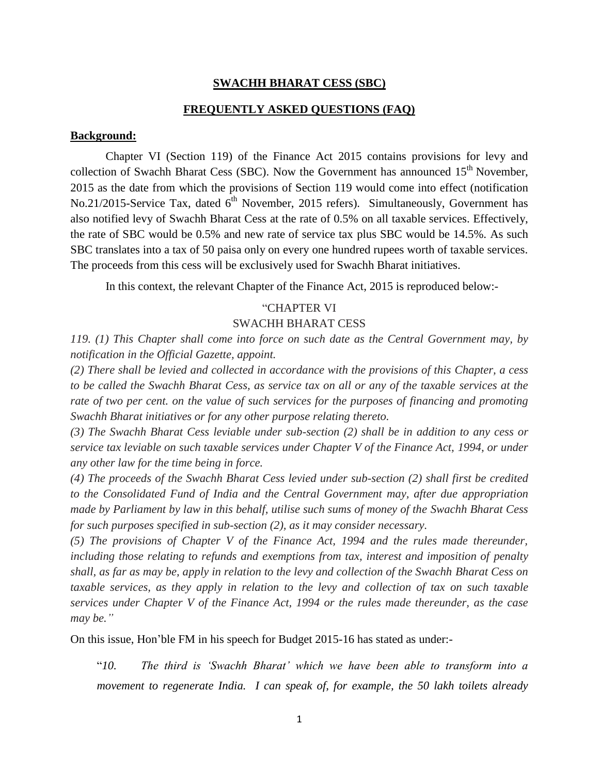### **SWACHH BHARAT CESS (SBC)**

#### **FREQUENTLY ASKED QUESTIONS (FAQ)**

### **Background:**

Chapter VI (Section 119) of the Finance Act 2015 contains provisions for levy and collection of Swachh Bharat Cess (SBC). Now the Government has announced  $15<sup>th</sup>$  November, 2015 as the date from which the provisions of Section 119 would come into effect (notification No.21/2015[-Service](http://taxguru.in/service-tax/govt-notifies-date-applicability-swachh-bharat-cess.html) Tax, dated  $6<sup>th</sup>$  November, 2015 refers). Simultaneously, Government has also notified levy of Swachh Bharat Cess at the rate of 0.5% on all taxable services. Effectively, the rate of SBC would be 0.5% and new rate of service tax plus SBC would be 14.5%. As such SBC translates into a tax of 50 paisa only on every one hundred rupees worth of taxable services. The proceeds from this cess will be exclusively used for Swachh Bharat initiatives.

In this context, the relevant Chapter of the Finance Act, 2015 is reproduced below:-

### "CHAPTER VI

#### SWACHH BHARAT CESS

*119. (1) This Chapter shall come into force on such date as the Central Government may, by notification in the Official Gazette, appoint.*

*(2) There shall be levied and collected in accordance with the provisions of this Chapter, a cess to be called the Swachh Bharat Cess, as service tax on all or any of the taxable services at the rate of two per cent. on the value of such services for the purposes of financing and promoting Swachh Bharat initiatives or for any other purpose relating thereto.*

*(3) The Swachh Bharat Cess leviable under sub-section (2) shall be in addition to any cess or service tax leviable on such taxable services under Chapter V of the Finance Act, 1994, or under any other law for the time being in force.*

*(4) The proceeds of the Swachh Bharat Cess levied under sub-section (2) shall first be credited to the Consolidated Fund of India and the Central Government may, after due appropriation made by Parliament by law in this behalf, utilise such sums of money of the Swachh Bharat Cess for such purposes specified in sub-section (2), as it may consider necessary.*

*(5) The provisions of Chapter V of the Finance Act, 1994 and the rules made thereunder, including those relating to refunds and exemptions from tax, interest and imposition of penalty shall, as far as may be, apply in relation to the levy and collection of the Swachh Bharat Cess on taxable services, as they apply in relation to the levy and collection of tax on such taxable services under Chapter V of the Finance Act, 1994 or the rules made thereunder, as the case may be."*

On this issue, Hon'ble FM in his speech for Budget 2015-16 has stated as under:-

"*10. The third is 'Swachh Bharat' which we have been able to transform into a movement to regenerate India. I can speak of, for example, the 50 lakh toilets already*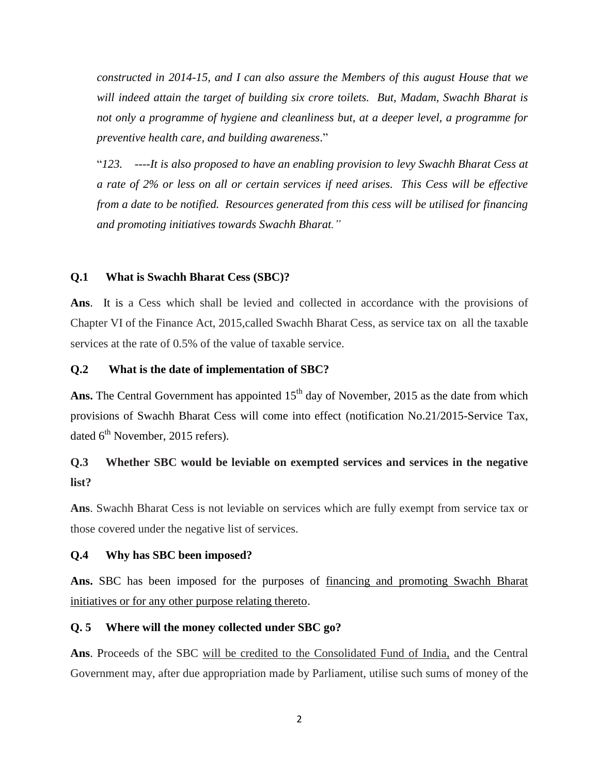*constructed in 2014-15, and I can also assure the Members of this august House that we will indeed attain the target of building six crore toilets. But, Madam, Swachh Bharat is not only a programme of hygiene and cleanliness but, at a deeper level, a programme for preventive health care, and building awareness*."

"*123. ----It is also proposed to have an enabling provision to levy Swachh Bharat Cess at a rate of 2% or less on all or certain services if need arises. This Cess will be effective from a date to be notified. Resources generated from this cess will be utilised for financing and promoting initiatives towards Swachh Bharat."*

### **Q.1 What is Swachh Bharat Cess (SBC)?**

**Ans**. It is a Cess which shall be levied and collected in accordance with the provisions of Chapter VI of the Finance Act, 2015,called Swachh Bharat Cess, as service tax on all the taxable services at the rate of 0.5% of the value of taxable service.

### **Q.2 What is the date of implementation of SBC?**

Ans. The Central Government has appointed  $15<sup>th</sup>$  day of November, 2015 as the date from which provisions of Swachh Bharat Cess will come into effect [\(notification](http://taxguru.in/service-tax/govt-notifies-date-applicability-swachh-bharat-cess.html) No.21/2015-Service Tax, dated  $6<sup>th</sup>$  November, 2015 refers).

### **Q.3 Whether SBC would be leviable on exempted services and services in the negative list?**

**Ans**. Swachh Bharat Cess is not leviable on services which are fully exempt from service tax or those covered under the negative list of services.

### **Q.4 Why has SBC been imposed?**

**Ans.** SBC has been imposed for the purposes of financing and promoting Swachh Bharat initiatives or for any other purpose relating thereto.

### **Q. 5 Where will the money collected under SBC go?**

**Ans**. Proceeds of the SBC will be credited to the Consolidated Fund of India, and the Central Government may, after due appropriation made by Parliament, utilise such sums of money of the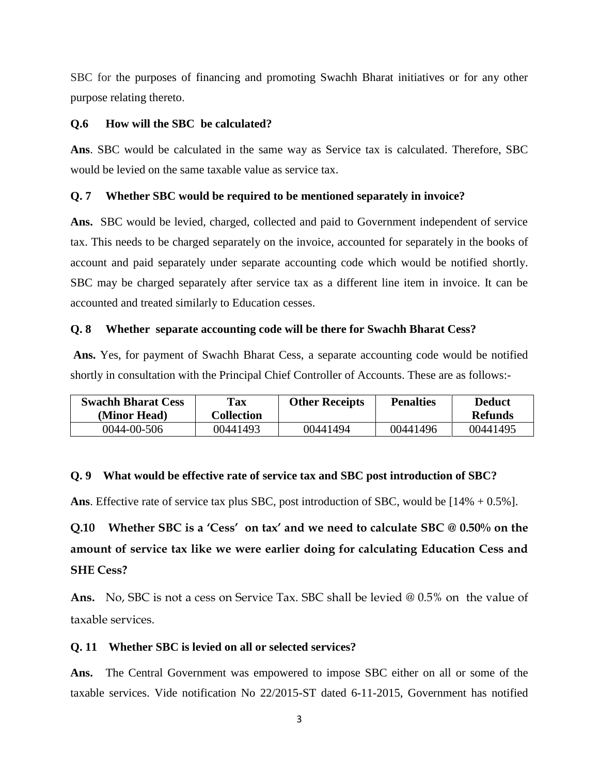SBC for the purposes of financing and promoting Swachh Bharat initiatives or for any other purpose relating thereto.

### **Q.6 How will the SBC be calculated?**

**Ans**. SBC would be calculated in the same way as Service tax is calculated. Therefore, SBC would be levied on the same taxable value as service tax.

#### **Q. 7 Whether SBC would be required to be mentioned separately in invoice?**

**Ans.** SBC would be levied, charged, collected and paid to Government independent of service tax. This needs to be charged separately on the invoice, accounted for separately in the books of account and paid separately under separate accounting code which would be notified shortly. SBC may be charged separately after service tax as a different line item in invoice. It can be accounted and treated similarly to Education cesses.

#### **Q. 8 Whether separate accounting code will be there for Swachh Bharat Cess?**

**Ans.** Yes, for payment of Swachh Bharat Cess, a separate accounting code would be notified shortly in consultation with the Principal Chief Controller of Accounts. These are as follows:-

| <b>Swachh Bharat Cess</b><br>(Minor Head) | <b>Tax</b><br><b>Collection</b> | <b>Other Receipts</b> | <b>Penalties</b> | <b>Deduct</b><br><b>Refunds</b> |
|-------------------------------------------|---------------------------------|-----------------------|------------------|---------------------------------|
| 0044-00-506                               | 00441493                        | 00441494              | 00441496         | 00441495                        |

### **Q. 9 What would be effective rate of service tax and SBC post introduction of SBC?**

**Ans**. Effective rate of service tax plus SBC, post introduction of SBC, would be [14% + 0.5%].

# **Q.10 Whether SBC is a 'Cess' on tax' and we need to calculate SBC @ 0.50% on the amount of service tax like we were earlier doing for calculating Education Cess and SHE Cess?**

**Ans.** No, SBC is not a cess on Service Tax. SBC shall be levied @ 0.5% on the value of taxable services.

### **Q. 11 Whether SBC is levied on all or selected services?**

**Ans.** The Central Government was empowered to impose SBC either on all or some of the taxable services. Vide notification No 22/2015-ST dated 6-11-2015, Government has notified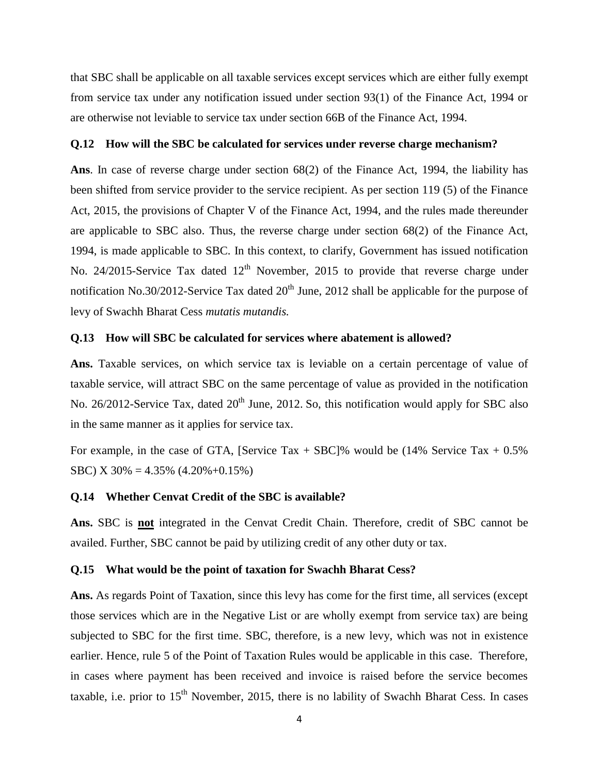that SBC shall be applicable on all taxable services except services which are either fully exempt from service tax under any notification issued under section 93(1) of the Finance Act, 1994 or are otherwise not leviable to service tax under section 66B of the Finance Act, 1994.

#### **Q.12 How will the SBC be calculated for services under reverse charge mechanism?**

**Ans**. In case of reverse charge under section 68(2) of the Finance Act, 1994, the liability has been shifted from service provider to the service recipient. As per section 119 (5) of the Finance Act, 2015, the provisions of Chapter V of the Finance Act, 1994, and the rules made thereunder are applicable to SBC also. Thus, the reverse charge under section 68(2) of the Finance Act, 1994, is made applicable to SBC. In this context, to clarify, Government has issued notification No. 24/2015-Service Tax dated  $12<sup>th</sup>$  November, 2015 to provide that reverse charge under notification No.30/2012-Service Tax dated  $20<sup>th</sup>$  June, 2012 shall be applicable for the purpose of levy of Swachh Bharat Cess *mutatis mutandis.*

#### **Q.13 How will SBC be calculated for services where abatement is allowed?**

**Ans.** Taxable services, on which service tax is leviable on a certain percentage of value of taxable service, will attract SBC on the same percentage of value as provided in the notification No. 26/2012-Service Tax, dated  $20<sup>th</sup>$  June, 2012. So, this notification would apply for SBC also in the same manner as it applies for service tax.

For example, in the case of GTA, [Service Tax  $+$  SBC]% would be (14% Service Tax  $+$  0.5% SBC) X  $30\% = 4.35\%$  (4.20%+0.15%)

#### **Q.14 Whether Cenvat Credit of the SBC is available?**

**Ans.** SBC is **not** integrated in the Cenvat Credit Chain. Therefore, credit of SBC cannot be availed. Further, SBC cannot be paid by utilizing credit of any other duty or tax.

#### **Q.15 What would be the point of taxation for Swachh Bharat Cess?**

**Ans.** As regards Point of Taxation, since this levy has come for the first time, all services (except those services which are in the Negative List or are wholly exempt from service tax) are being subjected to SBC for the first time. SBC, therefore, is a new levy, which was not in existence earlier. Hence, rule 5 of the Point of Taxation Rules would be applicable in this case. Therefore, in cases where payment has been received and invoice is raised before the service becomes taxable, i.e. prior to  $15<sup>th</sup>$  November, 2015, there is no lability of Swachh Bharat Cess. In cases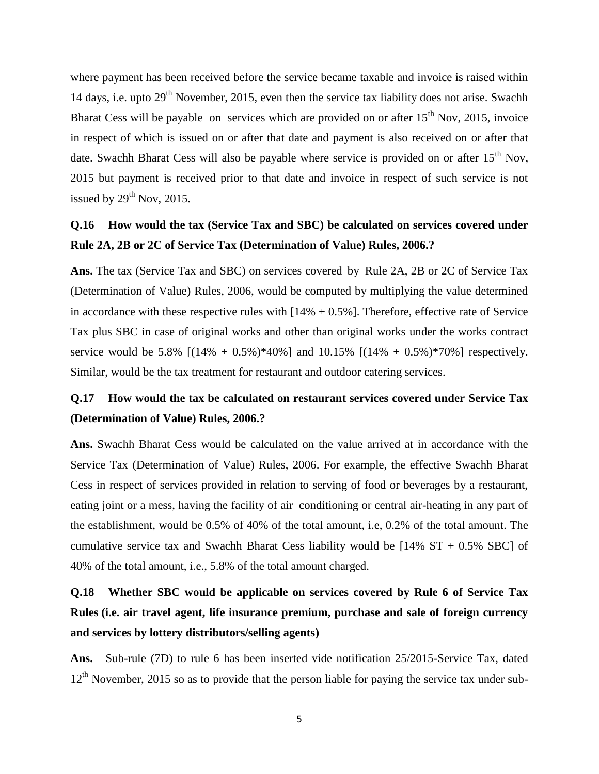where payment has been received before the service became taxable and invoice is raised within 14 days, i.e. upto  $29<sup>th</sup>$  November, 2015, even then the service tax liability does not arise. Swachh Bharat Cess will be payable on services which are provided on or after  $15<sup>th</sup>$  Nov, 2015, invoice in respect of which is issued on or after that date and payment is also received on or after that date. Swachh Bharat Cess will also be payable where service is provided on or after  $15<sup>th</sup>$  Nov, 2015 but payment is received prior to that date and invoice in respect of such service is not issued by  $29<sup>th</sup>$  Nov, 2015.

### **Q.16 How would the tax (Service Tax and SBC) be calculated on services covered under Rule 2A, 2B or 2C of Service Tax (Determination of Value) Rules, 2006.?**

**Ans.** The tax (Service Tax and SBC) on services covered by Rule 2A, 2B or 2C of Service Tax (Determination of Value) Rules, 2006, would be computed by multiplying the value determined in accordance with these respective rules with  $[14% + 0.5%]$ . Therefore, effective rate of Service Tax plus SBC in case of original works and other than original works under the works contract service would be 5.8%  $[(14\% + 0.5\%)*40\%]$  and 10.15%  $[(14\% + 0.5\%)*70\%]$  respectively. Similar, would be the tax treatment for restaurant and outdoor catering services.

## **Q.17 How would the tax be calculated on restaurant services covered under Service Tax (Determination of Value) Rules, 2006.?**

**Ans.** Swachh Bharat Cess would be calculated on the value arrived at in accordance with the Service Tax (Determination of Value) Rules, 2006. For example, the effective Swachh Bharat Cess in respect of services provided in relation to serving of food or beverages by a restaurant, eating joint or a mess, having the facility of air–conditioning or central air-heating in any part of the establishment, would be 0.5% of 40% of the total amount, i.e, 0.2% of the total amount. The cumulative service tax and Swachh Bharat Cess liability would be  $[14\% S T + 0.5\% SBC]$  of 40% of the total amount, i.e., 5.8% of the total amount charged.

## **Q.18 Whether SBC would be applicable on services covered by Rule 6 of Service Tax Rules (i.e. air travel agent, life insurance premium, purchase and sale of foreign currency and services by lottery distributors/selling agents)**

**Ans.** Sub-rule (7D) to rule 6 has been inserted vide notification 25/2015-Service Tax, dated  $12<sup>th</sup>$  November, 2015 so as to provide that the person liable for paying the service tax under sub